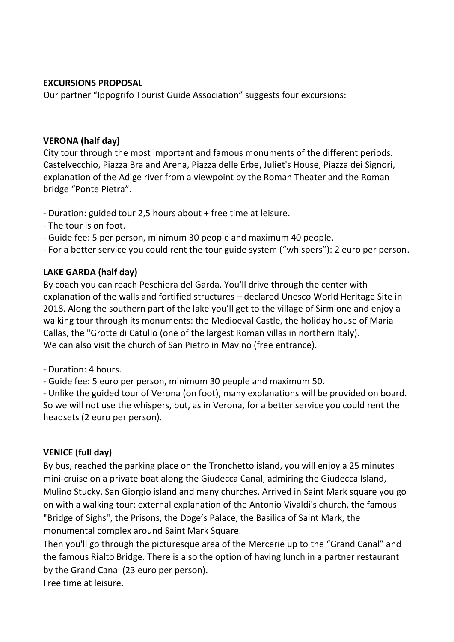### **EXCURSIONS PROPOSAL**

Our partner "Ippogrifo Tourist Guide Association" suggests four excursions:

### **VERONA (half day)**

City tour through the most important and famous monuments of the different periods. Castelvecchio, Piazza Bra and Arena, Piazza delle Erbe, Juliet's House, Piazza dei Signori, explanation of the Adige river from a viewpoint by the Roman Theater and the Roman bridge "Ponte Pietra".

- Duration: guided tour 2,5 hours about + free time at leisure.
- The tour is on foot.
- Guide fee: 5 per person, minimum 30 people and maximum 40 people.
- For a better service you could rent the tour guide system ("whispers"): 2 euro per person.

# **LAKE GARDA (half day)**

By coach you can reach Peschiera del Garda. You'll drive through the center with explanation of the walls and fortified structures – declared Unesco World Heritage Site in 2018. Along the southern part of the lake you'll get to the village of Sirmione and enjoy a walking tour through its monuments: the Medioeval Castle, the holiday house of Maria Callas, the "Grotte di Catullo (one of the largest Roman villas in northern Italy). We can also visit the church of San Pietro in Mavino (free entrance).

- Duration: 4 hours.
- Guide fee: 5 euro per person, minimum 30 people and maximum 50.

- Unlike the guided tour of Verona (on foot), many explanations will be provided on board. So we will not use the whispers, but, as in Verona, for a better service you could rent the headsets (2 euro per person).

# **VENICE (full day)**

By bus, reached the parking place on the Tronchetto island, you will enjoy a 25 minutes mini-cruise on a private boat along the Giudecca Canal, admiring the Giudecca Island, Mulino Stucky, San Giorgio island and many churches. Arrived in Saint Mark square you go on with a walking tour: external explanation of the Antonio Vivaldi's church, the famous "Bridge of Sighs", the Prisons, the Doge's Palace, the Basilica of Saint Mark, the monumental complex around Saint Mark Square.

Then you'll go through the picturesque area of the Mercerie up to the "Grand Canal" and the famous Rialto Bridge. There is also the option of having lunch in a partner restaurant by the Grand Canal (23 euro per person).

Free time at leisure.